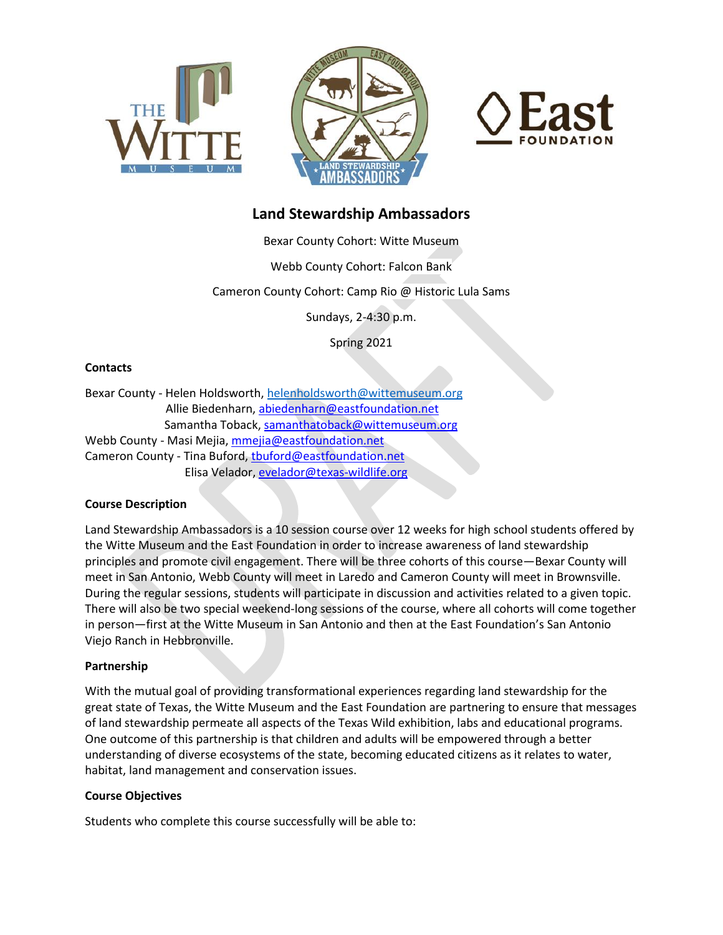





# **Land Stewardship Ambassadors**

Bexar County Cohort: Witte Museum

Webb County Cohort: Falcon Bank

Cameron County Cohort: Camp Rio @ Historic Lula Sams

Sundays, 2-4:30 p.m.

Spring 2021

## **Contacts**

Bexar County - Helen Holdsworth, [helenholdsworth@wittemuseum.org](mailto:helenholdsworth@wittemuseum.org) Allie Biedenharn, [abiedenharn@eastfoundation.net](mailto:abiedenharn@eastfoundation.net) Samantha Toback[, samanthatoback@wittemuseum.org](mailto:samanthatoback@wittemuseum.org) Webb County - Masi Mejia, [mmejia@eastfoundation.net](mailto:mmejia@eastfoundation.net) Cameron County - Tina Buford[, tbuford@eastfoundation.net](mailto:tbuford@eastfoundation.net) Elisa Velador, [evelador@texas-wildlife.org](mailto:evelador@texas-wildlife.org)

# **Course Description**

Land Stewardship Ambassadors is a 10 session course over 12 weeks for high school students offered by the Witte Museum and the East Foundation in order to increase awareness of land stewardship principles and promote civil engagement. There will be three cohorts of this course—Bexar County will meet in San Antonio, Webb County will meet in Laredo and Cameron County will meet in Brownsville. During the regular sessions, students will participate in discussion and activities related to a given topic. There will also be two special weekend-long sessions of the course, where all cohorts will come together in person—first at the Witte Museum in San Antonio and then at the East Foundation's San Antonio Viejo Ranch in Hebbronville.

## **Partnership**

With the mutual goal of providing transformational experiences regarding land stewardship for the great state of Texas, the Witte Museum and the East Foundation are partnering to ensure that messages of land stewardship permeate all aspects of the Texas Wild exhibition, labs and educational programs. One outcome of this partnership is that children and adults will be empowered through a better understanding of diverse ecosystems of the state, becoming educated citizens as it relates to water, habitat, land management and conservation issues.

## **Course Objectives**

Students who complete this course successfully will be able to: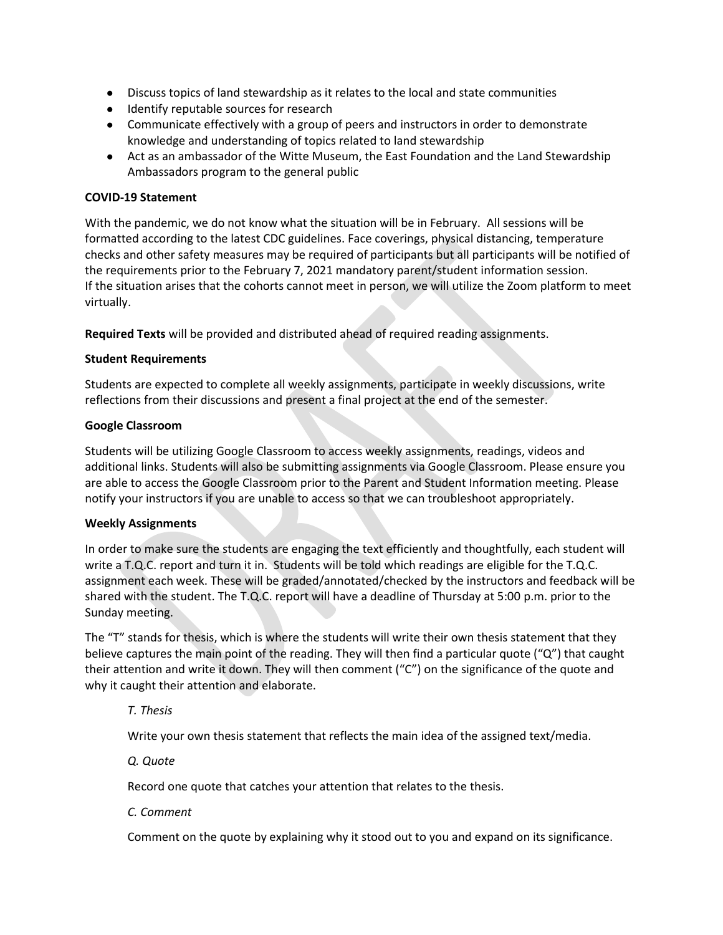- Discuss topics of land stewardship as it relates to the local and state communities
- Identify reputable sources for research
- Communicate effectively with a group of peers and instructors in order to demonstrate knowledge and understanding of topics related to land stewardship
- Act as an ambassador of the Witte Museum, the East Foundation and the Land Stewardship Ambassadors program to the general public

# **COVID-19 Statement**

With the pandemic, we do not know what the situation will be in February. All sessions will be formatted according to the latest CDC guidelines. Face coverings, physical distancing, temperature checks and other safety measures may be required of participants but all participants will be notified of the requirements prior to the February 7, 2021 mandatory parent/student information session. If the situation arises that the cohorts cannot meet in person, we will utilize the Zoom platform to meet virtually.

**Required Texts** will be provided and distributed ahead of required reading assignments.

## **Student Requirements**

Students are expected to complete all weekly assignments, participate in weekly discussions, write reflections from their discussions and present a final project at the end of the semester.

# **Google Classroom**

Students will be utilizing Google Classroom to access weekly assignments, readings, videos and additional links. Students will also be submitting assignments via Google Classroom. Please ensure you are able to access the Google Classroom prior to the Parent and Student Information meeting. Please notify your instructors if you are unable to access so that we can troubleshoot appropriately.

## **Weekly Assignments**

In order to make sure the students are engaging the text efficiently and thoughtfully, each student will write a T.Q.C. report and turn it in. Students will be told which readings are eligible for the T.Q.C. assignment each week. These will be graded/annotated/checked by the instructors and feedback will be shared with the student. The T.Q.C. report will have a deadline of Thursday at 5:00 p.m. prior to the Sunday meeting.

The "T" stands for thesis, which is where the students will write their own thesis statement that they believe captures the main point of the reading. They will then find a particular quote ("Q") that caught their attention and write it down. They will then comment ("C") on the significance of the quote and why it caught their attention and elaborate.

*T. Thesis*

Write your own thesis statement that reflects the main idea of the assigned text/media.

*Q. Quote*

Record one quote that catches your attention that relates to the thesis.

*C. Comment*

Comment on the quote by explaining why it stood out to you and expand on its significance.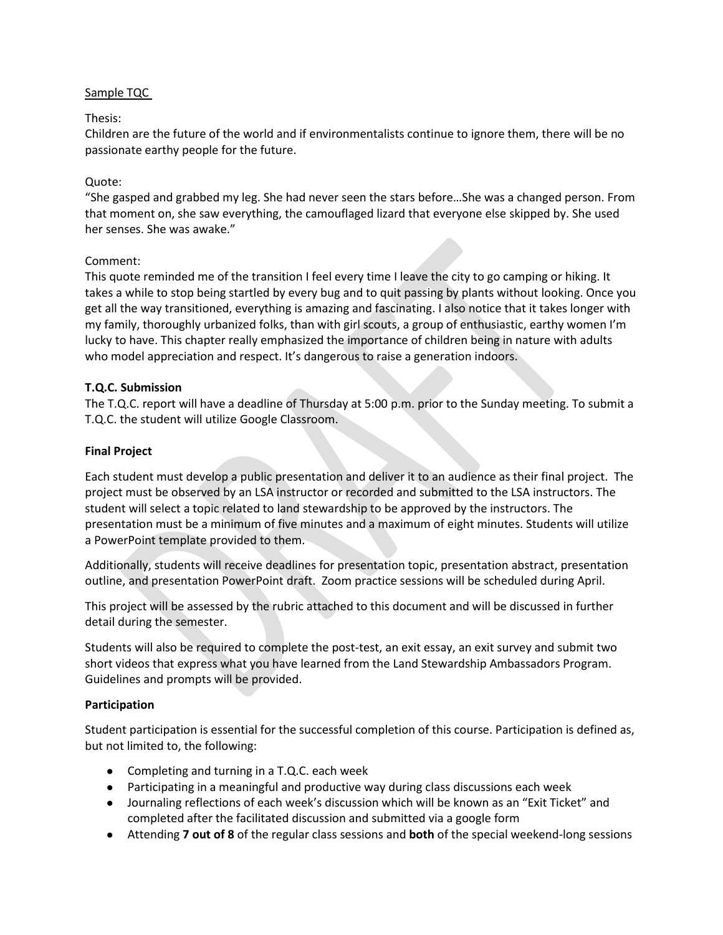# Sample TQC

# Thesis:

Children are the future of the world and if environmentalists continue to ignore them, there will be no passionate earthy people for the future.

# Quote:

"She gasped and grabbed my leg. She had never seen the stars before…She was a changed person. From that moment on, she saw everything, the camouflaged lizard that everyone else skipped by. She used her senses. She was awake."

# Comment:

This quote reminded me of the transition I feel every time I leave the city to go camping or hiking. It takes a while to stop being startled by every bug and to quit passing by plants without looking. Once you get all the way transitioned, everything is amazing and fascinating. I also notice that it takes longer with my family, thoroughly urbanized folks, than with girl scouts, a group of enthusiastic, earthy women I'm lucky to have. This chapter really emphasized the importance of children being in nature with adults who model appreciation and respect. It's dangerous to raise a generation indoors.

# **T.Q.C. Submission**

The T.Q.C. report will have a deadline of Thursday at 5:00 p.m. prior to the Sunday meeting. To submit a T.Q.C. the student will utilize Google Classroom.

# **Final Project**

Each student must develop a public presentation and deliver it to an audience as their final project. The project must be observed by an LSA instructor or recorded and submitted to the LSA instructors. The student will select a topic related to land stewardship to be approved by the instructors. The presentation must be a minimum of five minutes and a maximum of eight minutes. Students will utilize a PowerPoint template provided to them.

Additionally, students will receive deadlines for presentation topic, presentation abstract, presentation outline, and presentation PowerPoint draft. Zoom practice sessions will be scheduled during April.

This project will be assessed by the rubric attached to this document and will be discussed in further detail during the semester.

Students will also be required to complete the post-test, an exit essay, an exit survey and submit two short videos that express what you have learned from the Land Stewardship Ambassadors Program. Guidelines and prompts will be provided.

## **Participation**

Student participation is essential for the successful completion of this course. Participation is defined as, but not limited to, the following:

- Completing and turning in a T.Q.C. each week
- Participating in a meaningful and productive way during class discussions each week
- Journaling reflections of each week's discussion which will be known as an "Exit Ticket" and completed after the facilitated discussion and submitted via a google form
- Attending **7 out of 8** of the regular class sessions and **both** of the special weekend-long sessions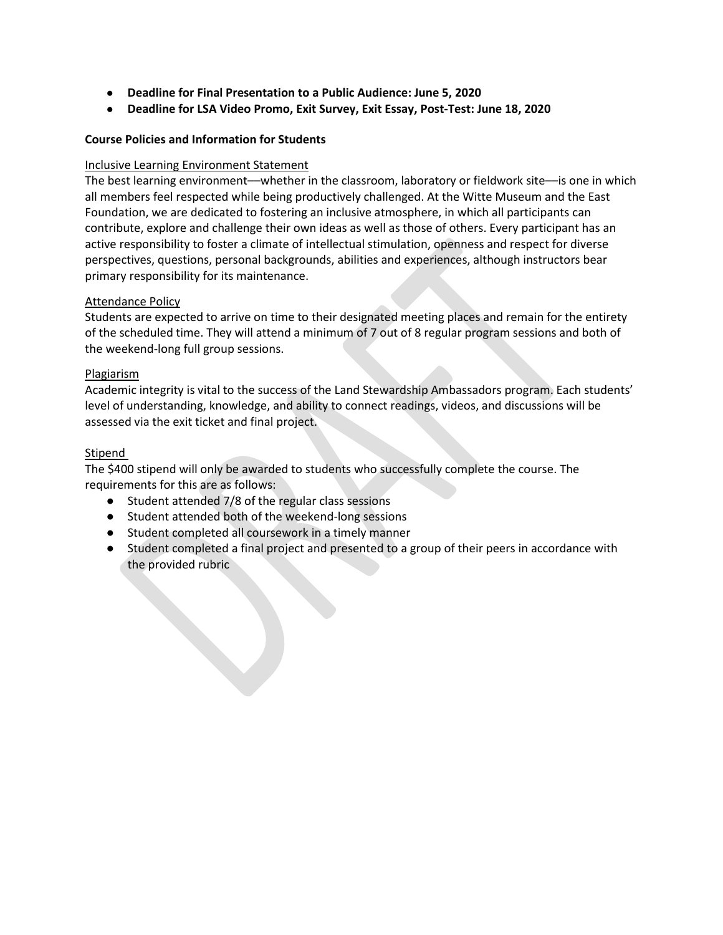- **Deadline for Final Presentation to a Public Audience: June 5, 2020**
- **Deadline for LSA Video Promo, Exit Survey, Exit Essay, Post-Test: June 18, 2020**

# **Course Policies and Information for Students**

## Inclusive Learning Environment Statement

The best learning environment—whether in the classroom, laboratory or fieldwork site—is one in which all members feel respected while being productively challenged. At the Witte Museum and the East Foundation, we are dedicated to fostering an inclusive atmosphere, in which all participants can contribute, explore and challenge their own ideas as well as those of others. Every participant has an active responsibility to foster a climate of intellectual stimulation, openness and respect for diverse perspectives, questions, personal backgrounds, abilities and experiences, although instructors bear primary responsibility for its maintenance.

## Attendance Policy

Students are expected to arrive on time to their designated meeting places and remain for the entirety of the scheduled time. They will attend a minimum of 7 out of 8 regular program sessions and both of the weekend-long full group sessions.

#### Plagiarism

Academic integrity is vital to the success of the Land Stewardship Ambassadors program. Each students' level of understanding, knowledge, and ability to connect readings, videos, and discussions will be assessed via the exit ticket and final project.

#### Stipend

The \$400 stipend will only be awarded to students who successfully complete the course. The requirements for this are as follows:

- Student attended 7/8 of the regular class sessions
- Student attended both of the weekend-long sessions
- Student completed all coursework in a timely manner
- Student completed a final project and presented to a group of their peers in accordance with the provided rubric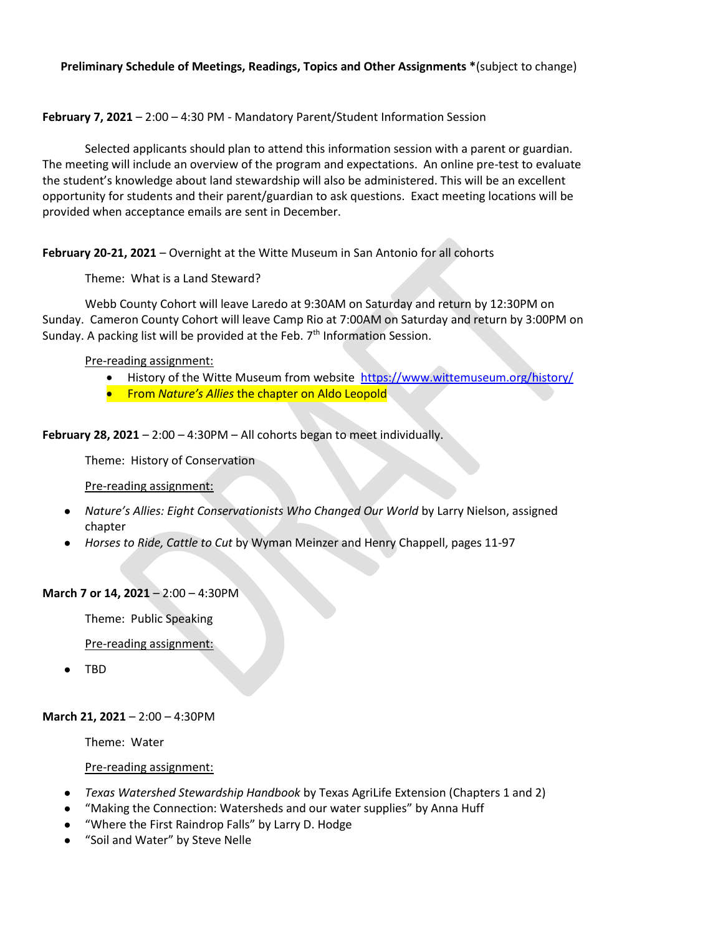## **Preliminary Schedule of Meetings, Readings, Topics and Other Assignments \***(subject to change)

#### **February 7, 2021** – 2:00 – 4:30 PM - Mandatory Parent/Student Information Session

Selected applicants should plan to attend this information session with a parent or guardian. The meeting will include an overview of the program and expectations. An online pre-test to evaluate the student's knowledge about land stewardship will also be administered. This will be an excellent opportunity for students and their parent/guardian to ask questions. Exact meeting locations will be provided when acceptance emails are sent in December.

**February 20-21, 2021** – Overnight at the Witte Museum in San Antonio for all cohorts

Theme: What is a Land Steward?

Webb County Cohort will leave Laredo at 9:30AM on Saturday and return by 12:30PM on Sunday. Cameron County Cohort will leave Camp Rio at 7:00AM on Saturday and return by 3:00PM on Sunday. A packing list will be provided at the Feb. 7<sup>th</sup> Information Session.

#### Pre-reading assignment:

- History of the Witte Museum from website<https://www.wittemuseum.org/history/>
- **•** From *Nature's Allies* the chapter on Aldo Leopold

**February 28, 2021** – 2:00 – 4:30PM – All cohorts began to meet individually.

Theme: History of Conservation

Pre-reading assignment:

- *Nature's Allies: Eight Conservationists Who Changed Our World* by Larry Nielson, assigned chapter
- *Horses to Ride, Cattle to Cut* by Wyman Meinzer and Henry Chappell, pages 11-97

#### **March 7 or 14, 2021** – 2:00 – 4:30PM

Theme: Public Speaking

Pre-reading assignment:

● TBD

#### **March 21, 2021** – 2:00 – 4:30PM

Theme: Water

Pre-reading assignment:

- *Texas Watershed Stewardship Handbook* by Texas AgriLife Extension (Chapters 1 and 2)
- "Making the Connection: Watersheds and our water supplies" by Anna Huff
- "Where the First Raindrop Falls" by Larry D. Hodge
- "Soil and Water" by Steve Nelle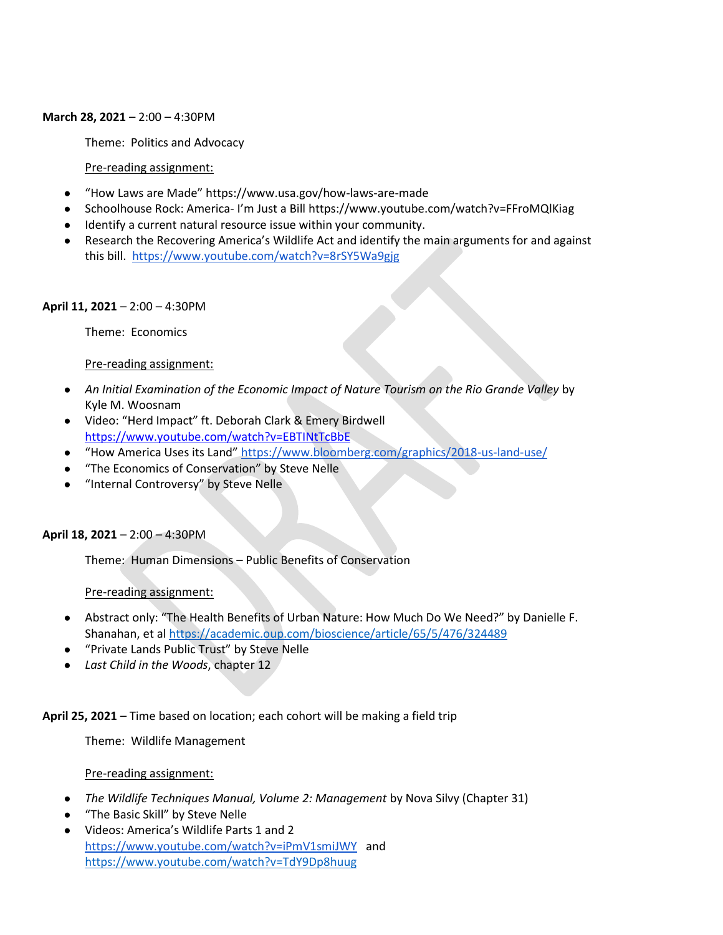#### **March 28, 2021** – 2:00 – 4:30PM

Theme: Politics and Advocacy

#### Pre-reading assignment:

- "How Laws are Made" https://www.usa.gov/how-laws-are-made
- Schoolhouse Rock: America- I'm Just a Bill https://www.youtube.com/watch?v=FFroMQlKiag
- Identify a current natural resource issue within your community.
- Research the Recovering America's Wildlife Act and identify the main arguments for and against this bill. <https://www.youtube.com/watch?v=8rSY5Wa9gjg>

#### **April 11, 2021** – 2:00 – 4:30PM

Theme: Economics

#### Pre-reading assignment:

- *An Initial Examination of the Economic Impact of Nature Tourism on the Rio Grande Valley* by Kyle M. Woosnam
- Video: "Herd Impact" ft. Deborah Clark & Emery Birdwell <https://www.youtube.com/watch?v=EBTINtTcBbE>
- "How America Uses its Land" <https://www.bloomberg.com/graphics/2018-us-land-use/>
- "The Economics of Conservation" by Steve Nelle
- "Internal Controversy" by Steve Nelle

## **April 18, 2021** – 2:00 – 4:30PM

Theme: Human Dimensions – Public Benefits of Conservation

## Pre-reading assignment:

- Abstract only: "The Health Benefits of Urban Nature: How Much Do We Need?" by Danielle F. Shanahan, et al<https://academic.oup.com/bioscience/article/65/5/476/324489>
- "Private Lands Public Trust" by Steve Nelle
- *Last Child in the Woods*, chapter 12

## **April 25, 2021** – Time based on location; each cohort will be making a field trip

Theme: Wildlife Management

Pre-reading assignment:

- *The Wildlife Techniques Manual, Volume 2: Management* by Nova Silvy (Chapter 31)
- "The Basic Skill" by Steve Nelle
- Videos: America's Wildlife Parts 1 and 2 <https://www.youtube.com/watch?v=iPmV1smiJWY> and <https://www.youtube.com/watch?v=TdY9Dp8huug>